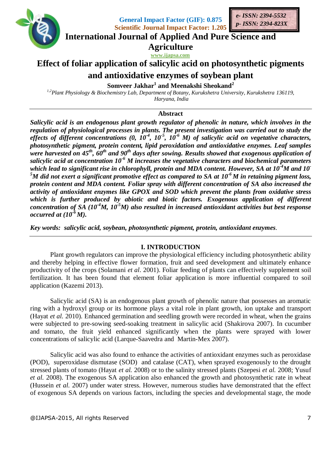

**General Impact Factor (GIF): 0.875 Scientific Journal Impact Factor: 1.205**



**International Journal of Applied And Pure Science and**

**Agriculture www.ijapsa.com**

# **Effect of foliar application of salicylic acid on photosynthetic pigments**

## **and antioxidative enzymes of soybean plant**

**Somveer Jakhar<sup>1</sup> and Meenakshi Sheokand<sup>2</sup>**

*1,2Plant Physiology & Biochemistry Lab, Department of Botany, Kurukshetra University, Kurukshetra 136119, Haryana, India*

#### **Abstract**

*Salicylic acid is an endogenous plant growth regulator of phenolic in nature, which involves in the regulation of physiological processes in plants. The present investigation was carried out to study the*  effects of different concentrations (0,  $10^{-4}$ ,  $10^{-5}$ ,  $10^{-6}$  M) of salicylic acid on vegetative characters, *photosynthetic pigment, protein content, lipid peroxidation and antioxidative enzymes. Leaf samples were harvested on 45th , 60th and 90th days after sowing. Results showed that exogenous application of salicylic acid at concentration 10-6 M increases the vegetative characters and biochemical parameters which lead to significant rise in chlorophyll, protein and MDA content. However, SA at 10-4M and 10- <sup>5</sup>M did not exert a significant promotive effect as compared to SA at 10-6 M in retaining pigment loss, protein content and MDA content. Foliar spray with different concentration of SA also increased the activity of antioxidant enzymes like GPOX and SOD which prevent the plants from oxidative stress which is further produced by abiotic and biotic factors. Exogenous application of different concentration of SA (10-4M, 10-5M) also resulted in increased antioxidant activities but best response occurred at (10-6 M).*

*Key words: salicylic acid, soybean, photosynthetic pigment, protein, antioxidant enzymes.*

#### **I. INTRODUCTION**

Plant growth regulators can improve the physiological efficiency including photosynthetic ability and thereby helping in effective flower formation, fruit and seed development and ultimately enhance productivity of the crops (Solamani *et al*. 2001). Foliar feeding of plants can effectively supplement soil fertilization. It has been found that element foliar application is more influential compared to soil application (Kazemi 2013).

Salicylic acid (SA) is an endogenous plant growth of phenolic nature that possesses an aromatic ring with a hydroxyl group or its hormone plays a vital role in plant growth, ion uptake and transport (Hayat *et al.* 2010). Enhanced germination and seedling growth were recorded in wheat, when the grains were subjected to pre-sowing seed-soaking treatment in salicylic acid (Shakirova 2007). In cucumber and tomato, the fruit yield enhanced significantly when the plants were sprayed with lower concentrations of salicylic acid (Larque-Saavedra and Martin-Mex 2007).

Salicylic acid was also found to enhance the activities of antioxidant enzymes such as peroxidase (POD), superoxidase dismutase (SOD) and catalase (CAT), when sprayed exogenously to the drought stressed plants of tomato (Hayat *et al.* 2008) or to the salinity stressed plants (Szepesi *et al.* 2008; Yusuf *et al.* 2008). The exogenous SA application also enhanced the growth and photosynthetic rate in wheat (Hussein *et al.* 2007) under water stress. However, numerous studies have demonstrated that the effect of exogenous SA depends on various factors, including the species and developmental stage, the mode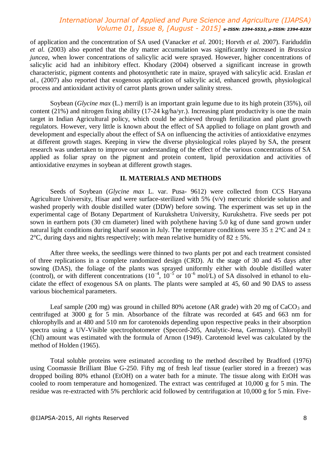of application and the concentration of SA used (Vanacker *et al.* 2001; Horvth *et al.* 2007). Fariduddin *et al.* (2003) also eported that the dry matter accumulation was significantly increased in *Brassica juncea*, when lower concentrations of salicylic acid were sprayed. However, higher concentrations of salicylic acid had an inhibitory effect. Khodary (2004) observed a significant increase in growth characteristic, pigment contents and photosynthetic rate in maize, sprayed with salicylic acid. Eraslan *et al.,* (2007) also reported that exogenous application of salicylic acid, enhanced growth, physiological process and antioxidant activity of carrot plants grown under salinity stress.

Soybean (*Glycine max* (L.) merril) is an important grain legume due to its high protein (35%), oil content (21%) and nitrogen fixing ability (17-24 kg/ha/yr.). Increasing plant productivity is one the main target in Indian Agricultural policy, which could be achieved through fertilization and plant growth regulators. However, very little is known about the effect of SA applied to foliage on plant growth and development and especially about the effect of SA on influencing the activities of antioxidative enzymes at different growth stages. Keeping in view the diverse physiological roles played by SA, the present research was undertaken to improve our understanding of the effect of the various concentrations of SA applied as foliar spray on the pigment and protein content, lipid peroxidation and activities of antioxidative enzymes in soybean at different growth stages.

#### **II. MATERIALS AND METHODS**

Seeds of Soybean (*Glycine max* L. var. Pusa- 9612) were collected from CCS Haryana Agriculture University, Hisar and were surface-sterilized with 5% (v/v) mercuric chloride solution and washed properly with double distilled water (DDW) before sowing. The experiment was set up in the experimental cage of Botany Department of Kurukshetra University, Kurukshetra. Five seeds per pot sown in earthern pots (30 cm diameter) lined with polythene having 5.0 kg of dune sand grown under natural light conditions during kharif season in July. The temperature conditions were  $35 \pm 2^{\circ}$ C and  $24 \pm 1$ 2°C, during days and nights respectively; with mean relative humidity of  $82 \pm 5\%$ .

After three weeks, the seedlings were thinned to two plants per pot and each treatment consisted of three replications in a complete randomized design (CRD). At the stage of 30 and 45 days after sowing (DAS), the foliage of the plants was sprayed uniformly either with double distilled water (control), or with different concentrations  $(10^{-4}, 10^{-5} \text{ or } 10^{-6} \text{ mol/L})$  of SA dissolved in ethanol to elucidate the effect of exogenous SA on plants. The plants were sampled at 45, 60 and 90 DAS to assess various biochemical parameters.

Leaf sample (200 mg) was ground in chilled 80% acetone (AR grade) with 20 mg of  $CaCO<sub>3</sub>$  and centrifuged at 3000 g for 5 min. Absorbance of the filtrate was recorded at 645 and 663 nm for chlorophylls and at 480 and 510 nm for carotenoids depending upon respective peaks in their absorption spectra using a UV-Visible spectrophotometer (Specord-205, Analytic-Jena, Germany). Chlorophyll (Chl) amount was estimated with the formula of Arnon (1949). Carotenoid level was calculated by the method of Holden (1965).

Total soluble proteins were estimated according to the method described by Bradford (1976) using Coomassie Brilliant Blue G-250. Fifty mg of fresh leaf tissue (earlier stored in a freezer) was dropped boiling 80% ethanol (EtOH) on a water bath for a minute. The tissue along with EtOH was cooled to room temperature and homogenized. The extract was centrifuged at 10,000 g for 5 min. The residue was re-extracted with 5% perchloric acid followed by centrifugation at 10,000 g for 5 min. Five-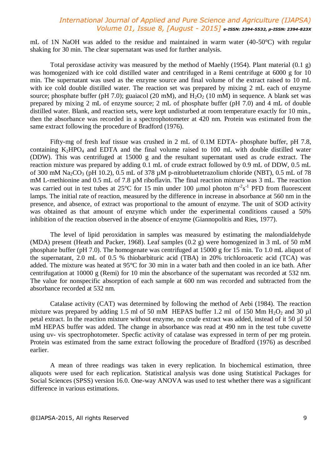mL of 1N NaOH was added to the residue and maintained in warm water (40-50°C) with regular shaking for 30 min. The clear supernatant was used for further analysis.

Total peroxidase activity was measured by the method of Maehly (1954). Plant material (0.1 g) was homogenized with ice cold distilled water and centrifuged in a Remi centrifuge at 6000 g for 10 min. The supernatant was used as the enzyme source and final volume of the extract raised to 10 mL with ice cold double distilled water. The reaction set was prepared by mixing 2 mL each of enzyme source; phosphate buffer (pH 7.0); guaiacol (20 mM), and  $H_2O_2$  (10 mM) in sequence. A blank set was prepared by mixing 2 mL of enzyme source; 2 mL of phosphate buffer (pH 7.0) and 4 mL of double distilled water. Blank, and reaction sets, were kept undisturbed at room temperature exactly for 10 min., then the absorbance was recorded in a spectrophotometer at 420 nm. Protein was estimated from the same extract following the procedure of Bradford (1976).

Fifty-mg of fresh leaf tissue was crushed in 2 mL of 0.1M EDTA- phosphate buffer, pH 7.8, containing  $K_2HPO_4$  and EDTA and the final volume raised to 100 mL with double distilled water (DDW). This was centrifuged at 15000 g and the resultant supernatant used as crude extract. The reaction mixture was prepared by adding 0.1 mL of crude extract followed by 0.9 mL of DDW, 0.5 mL of 300 mM Na<sub>2</sub>CO<sub>3</sub> (pH 10.2), 0.5 mL of 378  $\mu$ M p-nitrobluetetrazolium chloride (NBT), 0.5 mL of 78 mM L-methionine and 0.5 mL of 7.8  $\mu$ M riboflavin. The final reaction mixture was 3 mL. The reaction was carried out in test tubes at  $25^{\circ}$ C for 15 min under 100 µmol photon m<sup>-2</sup>s<sup>-1</sup> PFD from fluorescent lamps. The initial rate of reaction, measured by the difference in increase in absorbance at 560 nm in the presence, and absence, of extract was proportional to the amount of enzyme. The unit of SOD activity was obtained as that amount of enzyme which under the experimental conditions caused a 50% inhibition of the reaction observed in the absence of enzyme (Giannopolitis and Ries, 1977).

The level of lipid peroxidation in samples was measured by estimating the malondialdehyde (MDA) present (Heath and Packer, 1968). Leaf samples (0.2 g) were homogenized in 3 mL of 50 mM phosphate buffer (pH 7.0). The homogenate was centrifuged at 15000 g for 15 min. To 1.0 mL aliquot of the supernatant, 2.0 mL of 0.5 % thiobarbituric acid (TBA) in 20% trichloroacetic acid (TCA) was added. The mixture was heated at 95°C for 30 min in a water bath and then cooled in an ice bath. After centrifugation at 10000 g (Remi) for 10 min the absorbance of the supernatant was recorded at 532 nm. The value for nonspecific absorption of each sample at 600 nm was recorded and subtracted from the absorbance recorded at 532 nm.

Catalase activity (CAT) was determined by following the method of Aebi (1984). The reaction mixture was prepared by adding 1.5 ml of 50 mM HEPAS buffer 1.2 ml of 150 Mm  $H_2O_2$  and 30 µl petal extract. In the reaction mixture without enzyme, no crude extract was added, instead of it 50 µl 50 mM HEPAS buffer was added. The change in absorbance was read at 490 nm in the test tube cuvette using uv- vis spectrophotometer. Specfic activity of catalase was expressed in term of per mg protein. Protein was estimated from the same extract following the procedure of Bradford (1976) as described earlier.

A mean of three readings was taken in every replication. In biochemical estimation, three aliquots were used for each replication. Statistical analysis was done using Statistical Packages for Social Sciences (SPSS) version 16.0. One-way ANOVA was used to test whether there was a significant difference in various estimations.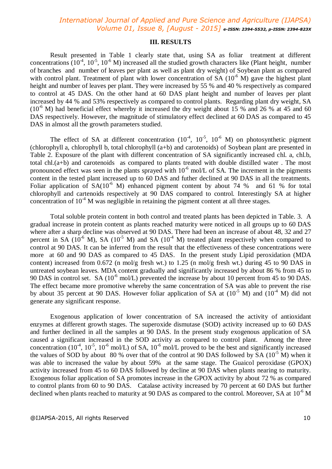#### **III. RESULTS**

Result presented in Table 1 clearly state that, using SA as foliar treatment at different concentrations  $(10^{-4}, 10^{-5}, 10^{-6} \text{ M})$  increased all the studied growth characters like (Plant height, number of branches and number of leaves per plant as well as plant dry weight) of Soybean plant as compared with control plant. Treatment of plant with lower concentration of SA  $(10^{-6}$  M) gave the highest plant height and number of leaves per plant. They were increased by 55 % and 40 % respectively as compared to control at 45 DAS. On the other hand at 60 DAS plant height and number of leaves per plant increased by 44 % and 53% respectively as compared to control plants. Regarding plant dry weight, SA  $(10^{-6}$  M) had beneficial effect whereby it increased the dry weight about 15 % and 26 % at 45 and 60 DAS respectively. However, the magnitude of stimulatory effect declined at 60 DAS as compared to 45 DAS in almost all the growth parameters studied.

The effect of SA at different concentration  $(10^4, 10^5, 10^6)$  M) on photosynthetic pigment (chlorophyll a, chlorophyll b, total chlorophyll (a+b) and carotenoids) of Soybean plant are presented in Table 2. Exposure of the plant with different concentration of SA significantly increased chl. a, chl.b, total chl.(a+b) and carotenoids as compared to plants treated with double distilled water . The most pronounced effect was seen in the plants sprayed with  $10^{-6}$  mol/L of SA. The increment in the pigments content in the tested plant increased up to 60 DAS and futher declined at 90 DAS in all the treatments. Foliar application of  $SA(10^{-6} M)$  enhanced pigment content by about 74 % and 61 % for total chlorophyll and cartenoids respectively at 90 DAS compared to control. Interestingly SA at higher concentration of  $10^{-4}$  M was negligible in retaining the pigment content at all three stages.

Total soluble protein content in both control and treated plants has been depicted in Table. 3. A gradual increase in protein content as plants reached maturity were noticed in all groups up to 60 DAS where after a sharp decline was observed at 90 DAS. There had been an increase of about 48, 32 and 27 percent in SA ( $10^{-6}$  M), SA ( $10^{-5}$  M) and SA ( $10^{-4}$  M) treated plant respectively when compared to control at 90 DAS. It can be inferred from the result that the effectiveness of these concentrations were more at 60 and 90 DAS as compared to 45 DAS. In the present study Lipid peroxidation (MDA content) increased from  $0.672$  (n mol/g fresh wt.) to 1.25 (n mol/g fresh wt.) during 45 to 90 DAS in untreated soybean leaves. MDA content gradually and significantly increased by about 86 % from 45 to 90 DAS in control set. SA ( $10^{-6}$  mol/L) prevented the increase by about 10 percent from 45 to 90 DAS. The effect became more promotive whereby the same concentration of SA was able to prevent the rise by about 35 percent at 90 DAS. However foliar application of SA at  $(10^{-5}$  M) and  $(10^{-4}$  M) did not generate any significant response.

Exogenous application of lower concentration of SA increased the activity of antioxidant enzymes at different growth stages. The superoxide dismutase (SOD) activity increased up to 60 DAS and further declined in all the samples at 90 DAS. In the present study exogenous application of SA caused a significant increased in the SOD activity as compared to control plant. Among the three concentration ( $10^{-4}$ ,  $10^{-5}$ ,  $10^{-6}$  mol/L) of SA,  $10^{-6}$  mol/L proved to be the best and significantly increased the values of SOD by about 80 % over that of the control at 90 DAS followed by SA  $(10^{-5}$  M) when it was able to increased the value by about 59% at the same stage. The Guaicol peroxidase (GPOX) activity increased from 45 to 60 DAS followed by decline at 90 DAS when plants nearing to maturity. Exogenous foliar application of SA promotes increase in the GPOX activity by about 72 % as compared to control plants from 60 to 90 DAS. Catalase activity increased by 70 percent at 60 DAS but further declined when plants reached to maturity at 90 DAS as compared to the control. Moreover, SA at  $10^{-6}$  M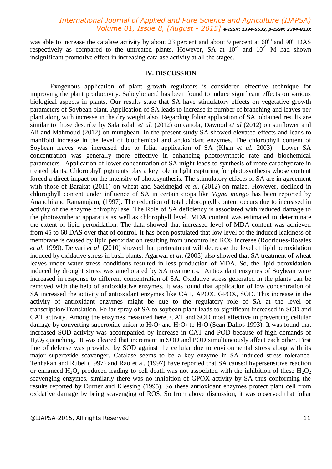was able to increase the catalase activity by about 23 percent and about 9 percent at  $60^{th}$  and  $90^{th}$  DAS respectively as compared to the untreated plants. However, SA at  $10^{-4}$  and  $10^{-5}$  M had shown insignificant promotive effect in increasing catalase activity at all the stages.

#### **IV. DISCUSSION**

Exogenous application of plant growth regulators is considered effective technique for improving the plant productivity. Salicylic acid has been found to induce significant effects on various biological aspects in plants. Our results state that SA have stimulatory effects on vegetative growth parameters of Soybean plant. Application of SA leads to increase in number of branching and leaves per plant along with increase in the dry weight also. Regarding foliar application of SA, obtained results are similar to those describe by Salarizdah *et al.* (2012) on canola, Dawood *et al* (2012) on sunflower and Ali and Mahmoud (2012) on mungbean. In the present study SA showed elevated effects and leads to manifold increase in the level of biochemical and antioxidant enzymes. The chlorophyll content of Soybean leaves was increased due to foliar application of SA (Khan *et al.* 2003). Lower SA concentration was generally more effective in enhancing photosynthetic rate and biochemical parameters. Application of lower concentration of SA might leads to synthesis of more carbohydrate in treated plants. Chlorophyll pigments play a key role in light capturing for photosynthesis whose content forced a direct impact on the intensity of photosynthesis. The stimulatory effects of SA are in agreement with those of Barakat (2011) on wheat and Saeidnejad *et al.* (2012) on maize. However, declined in chlorophyll content under influence of SA in certain crops like *Vigna mungo* has been reported by Anandhi and Ramanujam, (1997). The reduction of total chlorophyll content occurs due to increased in activity of the enzyme chlrophyllase. The Role of SA deficiency is associated with reduced damage to the photosynthetic apparatus as well as chlorophyll level. MDA content was estimated to determinate the extent of lipid peroxidation. The data showed that increased level of MDA content was achieved from 45 to 60 DAS over that of control. It has been postulated that low level of the induced leakiness of membrane is caused by lipid peroxidation resulting from uncontrolled ROS increase (Rodriques-Rosales *et al.* 1999). Delvari *et al*. (2010) showed that pretreatment will decrease the level of lipid peroxidation induced by oxidative stress in basil plants. Agarwal *et al*. (2005) also showed that SA treatment of wheat leaves under water stress conditions resulted in less production of MDA. So, the lipid peroxidation induced by drought stress was ameliorated by SA treatments. Antioxidant enzymes of Soybean were increased in response to different concentration of SA. Oxidative stress generated in the plants can be removed with the help of antioxidative enzymes. It was found that application of low concentration of SA increased the activity of antioxidant enzymes like CAT, APOX, GPOX, SOD. This increase in the activity of antioxidant enzymes might be due to the regulatory role of SA at the level of transcription/Translation. Foliar spray of SA to soybean plant leads to significant increased in SOD and CAT activity. Among the enzymes measured here, CAT and SOD most effective in preventing cellular damage by converting superoxide anion to  $H_2O_2$  and  $H_2O_2$  to  $H_2O$  (Scan-Dalios 1993). It was found that increased SOD activity was accompanied by increase in CAT and POD because of high demands of H<sub>2</sub>O<sub>2</sub> quenching. It was cleared that increment in SOD and POD simultaneously affect each other. First line of defense was provided by SOD against the cellular due to environmental stress along with its major superoxide scavenger. Catalase seems to be a key enzyme in SA induced stress tolerance. Tenhakan and Rubel (1997) and Rao et al. (1997) have reported that SA caused hypersensitive reaction or enhanced  $H_2O_2$  produced leading to cell death was not associated with the inhibition of these  $H_2O_2$ scavenging enzymes, similarly there was no inhibition of GPOX activity by SA thus conforming the results reported by Durner and Klessing (1995). So these antioxidant enzymes protect plant cell from oxidative damage by being scavenging of ROS. So from above discussion, it was observed that foliar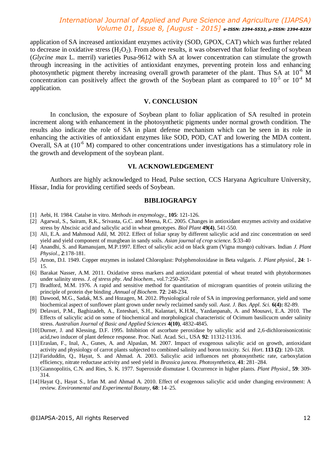application of SA increased antioxidant enzymes activity (SOD, GPOX, CAT) which was further related to decrease in oxidative stress  $(H_2O_2)$ . From above results, it was observed that foliar feeding of soybean (*Glycine max* L. merril) varieties Pusa-9612 with SA at lower concentration can stimulate the growth through increasing in the activities of antioxidant enzymes, preventing protein loss and enhancing photosynthetic pigment thereby increasing overall growth parameter of the plant. Thus SA at  $10^{-6}$  M concentration can positively affect the growth of the Soybean plant as compared to  $10^{-5}$  or  $10^{-4}$  M application.

#### **V. CONCLUSION**

In conclusion, the exposure of Soybean plant to foliar application of SA resulted in protein increment along with enhancement in the photosynthetic pigments under normal growth condition. The results also indicate the role of SA in plant defense mechanism which can be seen in its role in enhancing the activities of antioxidant enzymes like SOD, POD, CAT and lowering the MDA content. Overall, SA at  $(10^{-6}$  M) compared to other concentrations under investigations has a stimulatory role in the growth and development of the soybean plant.

#### **VI. ACKNOWLEDGEMENT**

Authors are highly acknowledged to Head, Pulse section, CCS Haryana Agriculture University, Hissar, India for providing certified seeds of Soybean.

#### **BIBLIOGRAPGY**

- [1] Aebi, H. 1984. Catalse in vitro. *Methods in enzymology*., **105**: 121-126.
- [2] Agarwal, S., Sairam, R.K., Srivasta, G.C. and Meena, R.C. 2005. Changes in antioxidant enzymes activity and oxidative stress by Abscisic acid and salicylic acid in wheat genotypes. *Biol Plant* **49(4)**, 541-550.
- [3] Ali, E.A. and Mahmoud Adil, M. 2012. Effect of foliar spray by different salicylic acid and zinc concentration on seed yield and yield component of mungbean in sandy soils. *Asian journal of crop science.* **5**:33-40
- [4] Anandhi, S. and Ramanujam, M.P.1997. Effect of salicylic acid on black gram (Vigna mungo) cultivars. Indian *J. Plant Physiol*., **2**:178-181.
- [5] Arnon, D.I. 1949. Copper enzymes in isolated Chloroplast: Polyphenoloxidase in Beta vulgaris. *J. Plant physiol.,* **24**: 1- 15.
- [6] Barakat Nasser, A.M. 2011. Oxidative stress markers and antioxidant potential of wheat treated with phytohormones under salinity stress. *J. of stress phy. And biochem*., vol.7:250-267.
- [7] Bradford, M.M. 1976. A rapid and sensitive method for quantitation of microgram quantities of protein utilizing the principle of protein dye binding .*Annual of Biochem*. **72**: 248-234.
- [8] Dawood, M.G., Sadak, M.S. and Hozagen, M. 2012. Physiological role of SA in improving performance, yield and some biochemical aspect of sunflower plant grown under newly reclaimed sandy soil. *Aust*. *J. Bas. Appl. Sci.* **6(4):** 82-89.
- [9] Delavari, P.M., Baghizadeh, A., Enteshari, S.H., Kalantari, K.H.M., Yazdanpanah, A. and Mousavi, E.A. 2010. The Effects of salicylic acid on some of biochemical and morphological characteristic of Ocimum basilicucm under salinity stress. *Australian Journal of Basic and Applied Sciences* **4(10)**, 4832-4845.
- [10]Durner, J. and Klessing, D.F. 1995. Inhibition of ascorbate peroxidase by salicylic acid and 2,6-dichloroisonicotinic acid,two inducer of plant defence response. Proc. Natl. Acad. Sci., USA **92**: 11312-11316.
- [11]Eraslan, F., Inal, A., Gunes, A. and Alpaslan, M. 2007. Impact of exogenous salicylic acid on growth, antioxidant activity and physiology of carrot plants subjected to combined salinity and boron toxicity. *Sci. Hort*. **113 (2)**: 120-128.
- [12]Fariduddin, Q., Hayat, S. and Ahmad. A. 2003. Salicylic acid influences net photosynthetic rate, carboxylation efficiency, nitrate reductase activity and seed yield in *Brassica juncea*. *Photosynthetica*, **41**: 281–284.
- [13]Giannopolitis, C.N. and Ries, S. K. 1977. Superoxide dismutase I. Occurrence in higher plants. *Plant Physiol*., **59**: 309- 314.
- [14]Hayat Q., Hayat S., Irfan M. and Ahmad A. 2010. Effect of exogenous salicylic acid under changing environment: A review. *Environmental and Experimental Botany*, **68**: 14–25.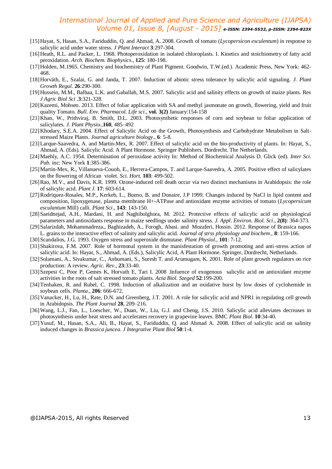- [15]Hayat, S, Hasan, S.A., Fariduddin, Q. and Ahmad, A. 2008. Growth of tomato (*Lycopersicon esculentum*) in response to salicylic acid under water stress. *J Plant Interact* **3**:297-304.
- [16]Heath, R.L. and Packer, L. 1968. Photoperoxidation in isolated chloroplasts. I. Kinetics and stoichiometry of fatty acid peroxidation. *Arch. Biochem. Biophysics*., **125**: 180-198.
- [17]Holden, M.1965. Chemistry and biochemistry of Plant Pigment. Goodwin, T.W.(ed.). Academic Press, New York: 462- 468.
- [18]Horváth, E., Szalai, G. and Janda, T. 2007. Induction of abiotic stress tolerance by salicylic acid signaling. *J. Plant Growth Regul*. **26**:290-300.
- [19]Hussein, M.M., Balbaa, L.K. and Gaballah, M.S. 2007. Salicylic acid and salinity effects on growth of maize plants. Res *J Agric Biol Sci* .**3**:321-328.
- [20]Kazemi, Mohsen. 2013. Effect of foliar application with SA and methyl jasmonate on growth, flowering, yield and fruit quality Tomato. *Bull. Env. Pharmacol. Life sci*., **vol. 3(2)** January:154-158
- [21]Khan, W., Prithviraj, B. Smith, D.L. 2003. Photosynthetic responses of corn and soybean to foliar application of salicylates. *J. Plant Physio*.,**160**, 485–492
- [22]Khodary, S.E.A. 2004. Effect of Salicylic Acid on the Growth, Photosynthesis and Carbohydrate Metabolism in Saltstressed Maize Plants. *Journal agriculture biology.*, **6**: 5-8.
- [23]Larque-Saavedra, A. and Martin-Mex, R. 2007. Effect of salicylic acid on the bio-productivity of plants. In: Hayat, S., Ahmad, A. (Eds). Salicylic Acid. A Plant Hormone. Springer Publishers. Dordrecht. The Netherlands.
- [24]Maehly, A.C. 1954. Determination of peroxidase activity In: Method of Biochemical Analysis D. Glick (ed). *Inter Sci. Pub.* inc: New York **1**:385-386.
- [25]Martin-Mex, R., Villanueva-Couob, E., Herrera-Campos, T. and Larque-Saavedra, A. 2005. Positive effect of salicylates on the flowering of African violet*. Sci. Hort.* **103**: 499-502.
- [26]Rao, M.V., and Davis, K.R. 1999. Ozone-induced cell death occur via two distinct mechanisms in Arabidopsis: the role of salicylic acid. *Plant J.* **17**: 603-614.
- [27]Rodriquez-Rosales, M.P., Kerkeb, L., Bueno, B. and Donaire, J.P 1999. Changes induced by NaCl in lipid content and composition, lipoxygenase, plasma membrane H+-ATPase and antioxidant enzyme activities of tomato (*Lycopersicum esculantum* Mill) calli. *Plant Sci*., **143**: 143-150.
- [28]Saeidnejad, A.H., Mardani, H. and Naghibolghora, M. 2012. Protective effects of salicylic acid on physiological parameters and antioxidants response in maize seedlings under salinity stress. *J. Appl*. *Environ. Biol. Sci*., **2(8)**: 364-373.
- [29]Salarizdah, Mohammadreza., Baghizadeh, A., Forogh, Abasi. and Mozaferi, Hossin. 2012. Response of Brassica napus L. grains to the interactive effect of salinity and salicylic acid. *Journal of strss physiology and biochem*., **8**: 159-166.
- [30]Scandalios, J.G. 1993. Oxygen stress and superoxide dismutase. *Plant Physiol*., **101**: 7-12.
- [31]Shakirova, F.M. 2007. Role of hormonal system in the manisfestation of growth promoting and anti-stress action of salicylic acid. In: Hayat, S., Ahmad, A. (Eds.), Salicylic Acid, A Plant Hormone. Springer, Dordrecht, Netherlands.
- [32] Solamani, A., Sivakumar, C., Anbumani, S., Suresh T. and Arumugam, K. 2001. Role of plant growth regulators on rice production: A review. *Agric. Rev*., **23**:33-40.
- [33]Szepesi C, Poor P, Gemes K, Horvath E, Tari I. 2008 .Infuence of exogenous salicylic acid on antioxidant enzyme activities in the roots of salt stressed tomato plants. *Acta Biol. Szeged* **52**:199-200.
- [34]Tenhaken, R. and Rubel, C. 1998. Induction of alkalization and an oxidative burst by low doses of cyclohemide in soybean cells. *Planta*., **206**: 666-672.
- [35]Vanacker, H., Lu, H., Rate, D.N. and Greenberg, J.T. 2001. A role for salicylic acid and NPR1 in regulating cell growth in Arabidopsis. *The Plant Journal* **28**, 209–216.
- [36]Wang, L.J., Fan, L., Loescher, W., Duan, W., Liu, G.J. and Cheng, J.S. 2010. Salicylic acid alleviates decreases in photosynthesis under heat stress and accelerates recovery in grapevine leaves. BMC *Plant Biol*. **10**:34-40.
- [37]Yusuf, M., Hasan, S.A., Ali, B., Hayat, S., Fariduddin, Q. and Ahmad A. 2008. Effect of salicylic acid on salinity induced changes in *Brassica juncea*. *J Integrative Plant Biol* **50**:1-4.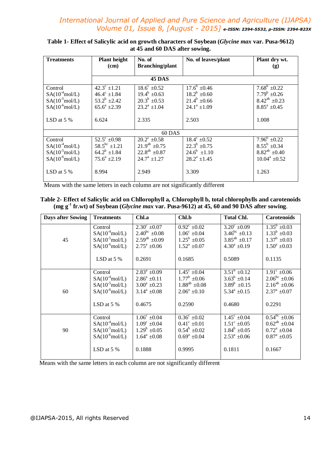| <b>Treatments</b>          | <b>Plant height</b>  | No. of                    | No. of leaves/plant  | Plant dry wt.        |  |
|----------------------------|----------------------|---------------------------|----------------------|----------------------|--|
|                            | (cm)                 | <b>Branching/plant</b>    |                      | (g)                  |  |
|                            | 45 DAS               |                           |                      |                      |  |
| Control                    | $42.3^{\circ}$ ±1.21 | $18.6^{\circ}$ $\pm 0.52$ | $17.6^b \pm 0.46$    | $7.68^b$ $\pm 0.22$  |  |
| $SA(10^{-4} \text{mol/L})$ | $46.4^{\circ}$ ±1.84 | $19.4^b \pm 0.63$         | $18.2^b \pm 0.60$    | $7.79^b$ $\pm 0.26$  |  |
| $SA(10^{-5} \text{mol/L})$ | $53.2^b$ ±2.42       | $20.3^b \pm 0.53$         | $21.4^b \pm 0.66$    | $8.42^{ab} \pm 0.23$ |  |
| $SA(10^{-6} \text{mol/L})$ | $65.6^a$ +2.39       | $23.2^a \pm 1.04$         | $24.1^a \pm 1.09$    | $8.85^a \pm 0.45$    |  |
|                            |                      |                           |                      |                      |  |
| LSD at $5\%$               | 6.624                | 2.335                     | 2.503                | 1.008                |  |
|                            |                      |                           |                      |                      |  |
| 60 DAS                     |                      |                           |                      |                      |  |
| Control                    | $52.5^{\circ}$ ±0.98 | $20.2^{\circ}$ ±0.58      | $18.4^{\circ}$ ±0.52 | $7.96^b \pm 0.22$    |  |
| $SA(10^{-4} \text{mol/L})$ | $58.5^{bc}$ ±1.21    | $21.9^{ab}$ $\pm 0.75$    | $22.3^b \pm 0.75$    | $8.55^b$ ±0.34       |  |
| $SA(10^5 \text{mol/L})$    | $64.2^b$ ±1.84       | $22.8^{ab} \pm 0.87$      | $24.6^b$ $\pm 1.10$  | $8.82^{ab} \pm 0.40$ |  |
| $SA(10^{-6} \text{mol/L})$ | $75.6^a \pm 2.19$    | $24.7^{\rm a}$ ±1.27      | $28.2^a \pm 1.45$    | $10.04^a \pm 0.52$   |  |
|                            |                      |                           |                      |                      |  |
| LSD at $5\%$               | 8.994                | 2.949                     | 3.309                | 1.263                |  |
|                            |                      |                           |                      |                      |  |

#### **Table 1- Effect of Salicylic acid on growth characters of Soybean (***Glycine max* **var. Pusa-9612) at 45 and 60 DAS after sowing.**

Means with the same letters in each column are not significantly different

#### **Table 2- Effect of Salicylic acid on Chllorophyll a, Chlorophyll b, total chlorophylls and carotenoids (mg g -1 fr.wt) of Soybean (***Glycine max* **var. Pusa-9612) at 45, 60 and 90 DAS after sowing**.

| <b>Days after Sowing</b> | <b>Treatments</b>                 | Chl.a                   | Chl.b                             | <b>Total Chl.</b>        | <b>Carotenoids</b>                         |
|--------------------------|-----------------------------------|-------------------------|-----------------------------------|--------------------------|--------------------------------------------|
| 45                       | Control                           | $2.30^{\circ} \pm 0.07$ | $0.92^{\circ}$ ±0.02              | $3.20^{\circ} \pm 0.09$  | $\overline{1.35^b}$ ±0.03                  |
|                          | $SA(10^4 \text{mol/L})$           | $2.40^{bc} \pm 0.08$    | $1.06^{\circ}$ ±0.04              | $3.46^{\rm bc} \pm 0.13$ | $1.33^b \pm 0.03$                          |
|                          | $SA(10^{\text{-}5} \text{mol/L})$ | $2.59^{ab} \pm 0.09$    | $1.25^b \pm 0.05$                 | $3.85^{ab}$ ±0.17        | $1.37^b \pm 0.03$                          |
|                          | $SA(10^6 \text{mol/L})$           | $2.75^{\rm a}$ ±0.06    | $1.52^a \pm 0.07$                 | $4.30^a \pm 0.19$        | $1.50^a \pm 0.03$                          |
|                          | LSD at $5%$                       | 0.2691                  | 0.1685                            | 0.5089                   | 0.1135                                     |
| 60                       | Control                           | $2.83^a \pm 0.09$       | $\frac{1.45^{\circ} \pm 0.04}{2}$ | $3.51^b$ $\pm 0.12$      | $\frac{1.91^{\circ} \pm 0.06}{2}$          |
|                          | $SA(10^4 \text{mol/L})$           | $2.86^a \pm 0.11$       | $1.77^b \pm 0.06$                 | $3.63^b \pm 0.14$        | $2.06^{bc} \pm 0.06$                       |
|                          | $SA(10^5 \text{mol/L})$           | $3.00^a \pm 0.23$       | $1.88^{ab} \pm 0.08$              | $3.89^b \pm 0.15$        | $2.16^{ab} \pm 0.06$                       |
|                          | $SA(10^{\text{-}6} \text{mol/L})$ | $3.14^a \pm 0.08$       | $2.06^a \pm 0.10$                 | $5.34^a \pm 0.15$        | $2.37^a \pm 0.07$                          |
|                          | LSD at $5%$                       | 0.4675                  | 0.2590                            | 0.4680                   | 0.2291                                     |
| 90                       | Control                           | $1.06^{\circ}$ ±0.04    | $0.36^{\circ}$ ±0.02              | $1.45^{\circ}$ ±0.04     | $\overline{0.54}^{\overline{bc}} \pm 0.06$ |
|                          | $SA(10^4 \text{mol/L})$           | $1.09^{\circ}$ ±0.04    | $0.41^{\circ}$ ±0.01              | $1.51^{\circ}$ ±0.05     | $0.62^{ab} \pm 0.04$                       |
|                          | $SA(10^{\text{-}5} \text{mol/L})$ | $1.29^b \pm 0.05$       | $0.54^b \pm 0.02$                 | $1.84^b \pm 0.05$        | $0.72^a \pm 0.04$                          |
|                          | $SA(10^{\text{-}6} \text{mol/L})$ | $1.64^a \pm 0.08$       | $0.69^a \pm 0.04$                 | $2.53^a \pm 0.06$        | $0.87^a \pm 0.05$                          |
|                          | LSD at $5\%$                      | 0.1888                  | 0.9995                            | 0.1811                   | 0.1667                                     |

Means with the same letters in each column are not significantly different